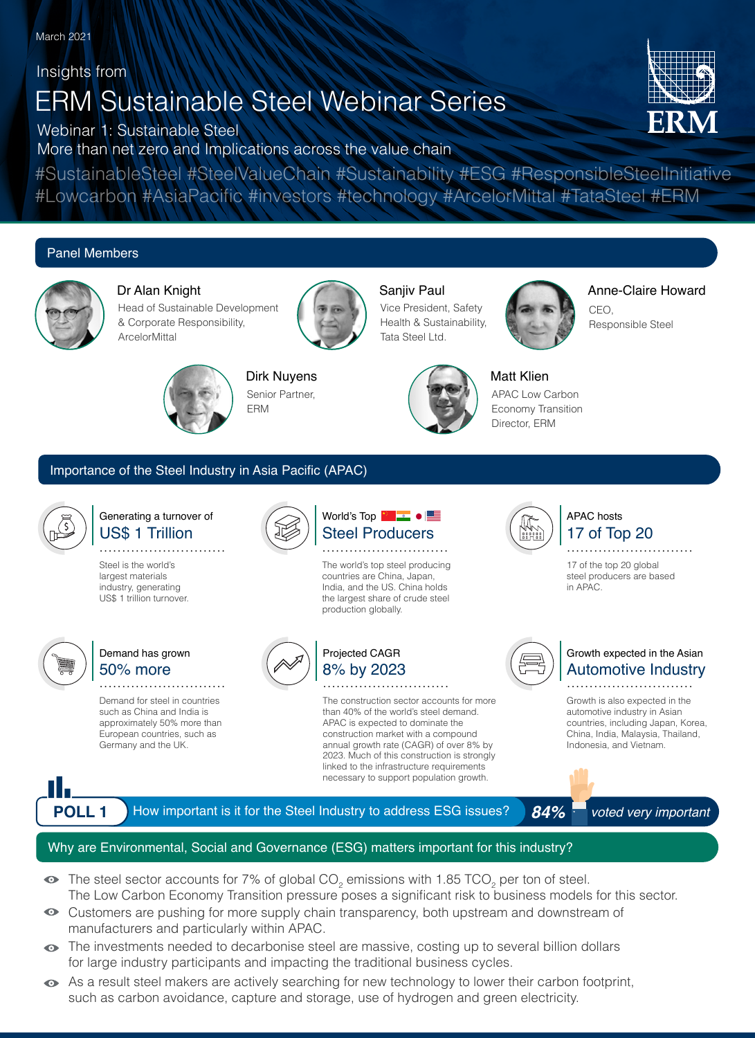Insights from

# ERM Sustainable Steel Webinar Series

Webinar 1: Sustainable Steel

More than net zero and Implications across the value chain

#SustainableSteel #SteelValueChain #Sustainability #ESG #ResponsibleSteelInitiative #Lowcarbon #AsiaPacific #investors #technology #ArcelorMittal #TataSteel #ERM

# Panel Members



Dr Alan Knight Head of Sustainable Development & Corporate Responsibility, **ArcelorMittal** 



## Saniiv Paul

Vice President, Safety Health & Sustainability, Tata Steel Ltd.



Anne-Claire Howard CEO, Responsible Steel



Dirk Nuyens Senior Partner, ERM



Matt Klien APAC Low Carbon Economy Transition Director, ERM

## Importance of the Steel Industry in Asia Pacific (APAC)



### US\$ 1 Trillion Generating a turnover of

**............................**

Steel is the world's largest materials industry, generating US\$ 1 trillion turnover.



# 50% more Demand has grown

Demand for steel in countries such as China and India is approximately 50% more than European countries, such as Germany and the UK.

**............................**





# 8% by 2023 Projected CAGR

The world's top steel producing countries are China, Japan, India, and the US. China holds the largest share of crude steel production globally.

**............................**

Steel Producers World's Top **Notified 1995** 

The construction sector accounts for more than 40% of the world's steel demand. APAC is expected to dominate the construction market with a compound annual growth rate (CAGR) of over 8% by 2023. Much of this construction is strongly linked to the infrastructure requirements necessary to support population growth.

**............................**



# 17 of Top 20 APAC hosts

17 of the top 20 global steel producers are based in APAC. **............................**

#### Automotive Industry Growth expected in the Asian **............................**

Growth is also expected in the automotive industry in Asian countries, including Japan, Korea, China, India, Malaysia, Thailand, Indonesia, and Vietnam.



**POLL 1** How important is it for the Steel Industry to address ESG issues? 84% voted very important

## Why are Environmental, Social and Governance (ESG) matters important for this industry?

- The steel sector accounts for 7% of global CO<sub>2</sub> emissions with 1.85 TCO<sub>2</sub> per ton of steel. The Low Carbon Economy Transition pressure poses a significant risk to business models for this sector.
- Customers are pushing for more supply chain transparency, both upstream and downstream of manufacturers and particularly within APAC.
- $\bullet$  The investments needed to decarbonise steel are massive, costing up to several billion dollars for large industry participants and impacting the traditional business cycles.
- As a result steel makers are actively searching for new technology to lower their carbon footprint, such as carbon avoidance, capture and storage, use of hydrogen and green electricity.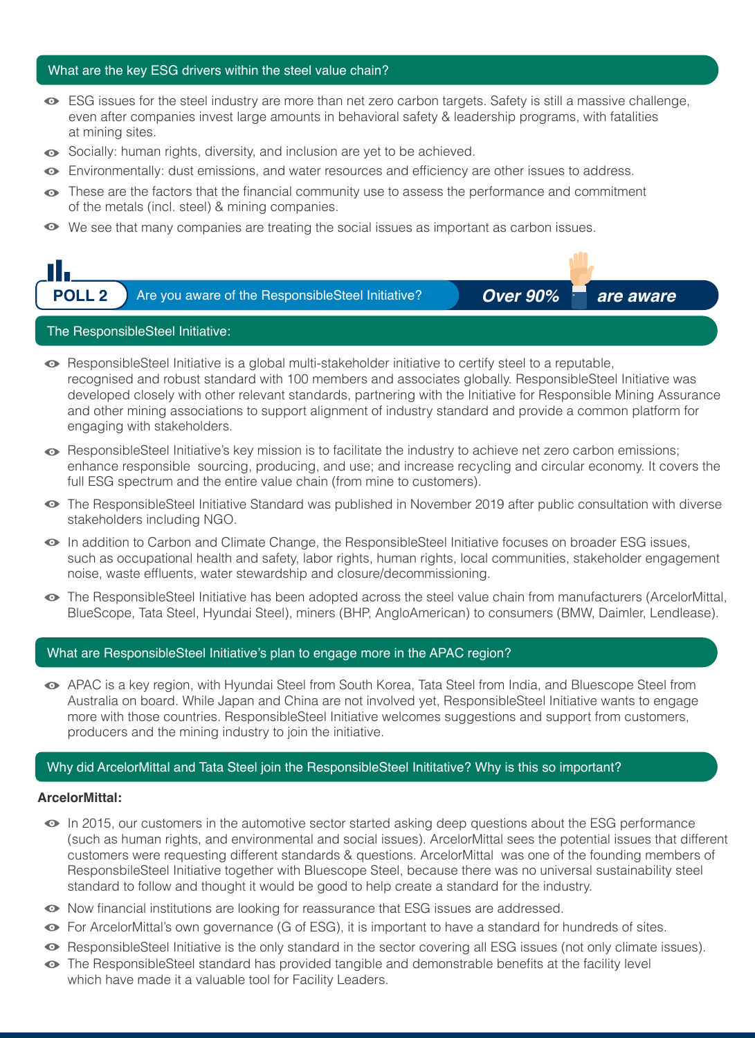#### What are the key ESG drivers within the steel value chain?

- ESG issues for the steel industry are more than net zero carbon targets. Safety is still a massive challenge, even after companies invest large amounts in behavioral safety & leadership programs, with fatalities at mining sites.
- Socially: human rights, diversity, and inclusion are yet to be achieved.
- Environmentally: dust emissions, and water resources and efficiency are other issues to address.
- $\bullet$  These are the factors that the financial community use to assess the performance and commitment of the metals (incl. steel) & mining companies.
- We see that many companies are treating the social issues as important as carbon issues.



- ResponsibleSteel Initiative is a global multi-stakeholder initiative to certify steel to a reputable, recognised and robust standard with 100 members and associates globally. ResponsibleSteel Initiative was developed closely with other relevant standards, partnering with the Initiative for Responsible Mining Assurance and other mining associations to support alignment of industry standard and provide a common platform for engaging with stakeholders.
- ResponsibleSteel Initiative's key mission is to facilitate the industry to achieve net zero carbon emissions; enhance responsible sourcing, producing, and use; and increase recycling and circular economy. It covers the full ESG spectrum and the entire value chain (from mine to customers).
- The ResponsibleSteel Initiative Standard was published in November 2019 after public consultation with diverse stakeholders including NGO.
- In addition to Carbon and Climate Change, the ResponsibleSteel Initiative focuses on broader ESG issues, such as occupational health and safety, labor rights, human rights, local communities, stakeholder engagement noise, waste effluents, water stewardship and closure/decommissioning.
- The ResponsibleSteel Initiative has been adopted across the steel value chain from manufacturers (ArcelorMittal, BlueScope, Tata Steel, Hyundai Steel), miners (BHP, AngloAmerican) to consumers (BMW, Daimler, Lendlease).

#### What are ResponsibleSteel Initiative's plan to engage more in the APAC region?

APAC is a key region, with Hyundai Steel from South Korea, Tata Steel from India, and Bluescope Steel from Australia on board. While Japan and China are not involved yet, ResponsibleSteel Initiative wants to engage more with those countries. ResponsibleSteel Initiative welcomes suggestions and support from customers, producers and the mining industry to join the initiative.

## Why did ArcelorMittal and Tata Steel join the ResponsibleSteel Inititative? Why is this so important?

#### **ArcelorMittal:**

- $\bullet$  In 2015, our customers in the automotive sector started asking deep questions about the ESG performance (such as human rights, and environmental and social issues). ArcelorMittal sees the potential issues that different customers were requesting different standards & questions. ArcelorMittal was one of the founding members of ResponsbileSteel Initiative together with Bluescope Steel, because there was no universal sustainability steel standard to follow and thought it would be good to help create a standard for the industry.
- $\bullet$  Now financial institutions are looking for reassurance that ESG issues are addressed.
- For ArcelorMittal's own governance (G of ESG), it is important to have a standard for hundreds of sites.
- ResponsibleSteel Initiative is the only standard in the sector covering all ESG issues (not only climate issues).
- The ResponsibleSteel standard has provided tangible and demonstrable benefits at the facility level which have made it a valuable tool for Facility Leaders.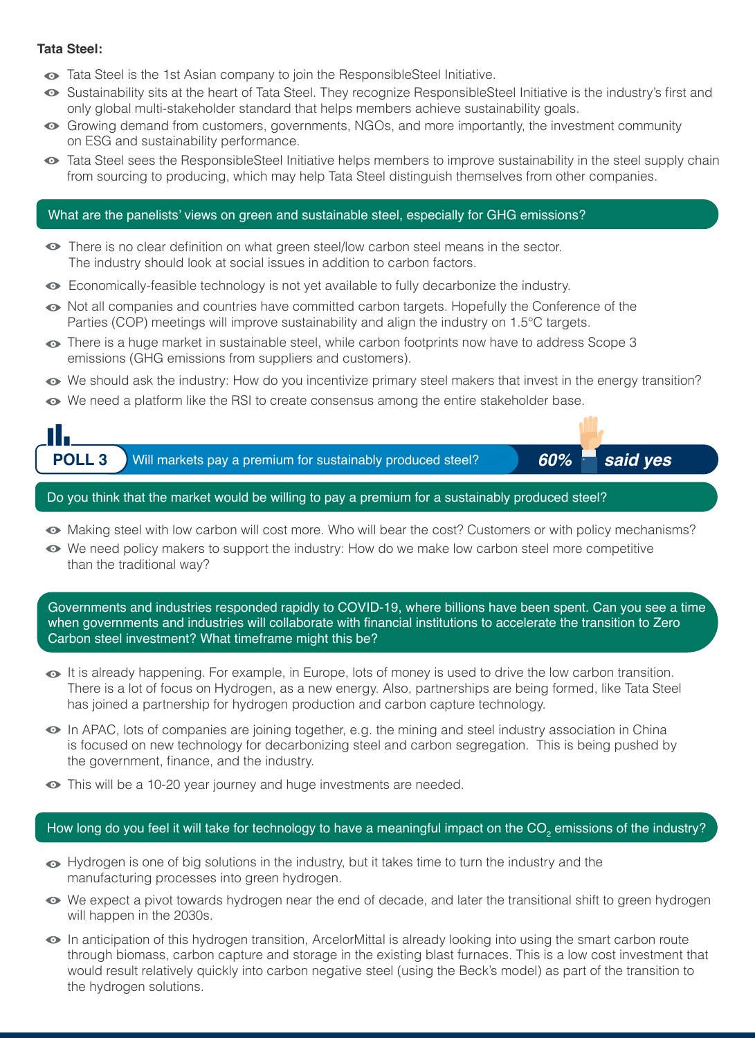### **Tata Steel:**

- Tata Steel is the 1st Asian company to join the ResponsibleSteel Initiative.
- Sustainability sits at the heart of Tata Steel. They recognize ResponsibleSteel Initiative is the industry's first and only global multi-stakeholder standard that helps members achieve sustainability goals.
- Growing demand from customers, governments, NGOs, and more importantly, the investment community on ESG and sustainability performance.
- Tata Steel sees the ResponsibleSteel Initiative helps members to improve sustainability in the steel supply chain from sourcing to producing, which may help Tata Steel distinguish themselves from other companies.

#### What are the panelists' views on green and sustainable steel, especially for GHG emissions?

- There is no clear definition on what green steel/low carbon steel means in the sector. The industry should look at social issues in addition to carbon factors.
- Economically-feasible technology is not yet available to fully decarbonize the industry.
- $\bullet$  Not all companies and countries have committed carbon targets. Hopefully the Conference of the Parties (COP) meetings will improve sustainability and align the industry on 1.5°C targets.
- $\bullet$  There is a huge market in sustainable steel, while carbon footprints now have to address Scope 3 emissions (GHG emissions from suppliers and customers).
- We should ask the industry: How do you incentivize primary steel makers that invest in the energy transition?
- $\bullet$  We need a platform like the RSI to create consensus among the entire stakeholder base.



- 
- Making steel with low carbon will cost more. Who will bear the cost? Customers or with policy mechanisms?
- We need policy makers to support the industry: How do we make low carbon steel more competitive than the traditional way?

Governments and industries responded rapidly to COVID-19, where billions have been spent. Can you see a time when governments and industries will collaborate with financial institutions to accelerate the transition to Zero Carbon steel investment? What timeframe might this be?

- $\bullet$  It is already happening. For example, in Europe, lots of money is used to drive the low carbon transition. There is a lot of focus on Hydrogen, as a new energy. Also, partnerships are being formed, like Tata Steel has joined a partnership for hydrogen production and carbon capture technology.
- In APAC, lots of companies are joining together, e.g. the mining and steel industry association in China is focused on new technology for decarbonizing steel and carbon segregation. This is being pushed by the government, finance, and the industry.
- $\bullet$  This will be a 10-20 year journey and huge investments are needed.

# How long do you feel it will take for technology to have a meaningful impact on the CO<sub>2</sub> emissions of the industry?

- $\bullet$  Hydrogen is one of big solutions in the industry, but it takes time to turn the industry and the manufacturing processes into green hydrogen.
- We expect a pivot towards hydrogen near the end of decade, and later the transitional shift to green hydrogen will happen in the 2030s.
- In anticipation of this hydrogen transition, ArcelorMittal is already looking into using the smart carbon route through biomass, carbon capture and storage in the existing blast furnaces. This is a low cost investment that would result relatively quickly into carbon negative steel (using the Beck's model) as part of the transition to the hydrogen solutions.